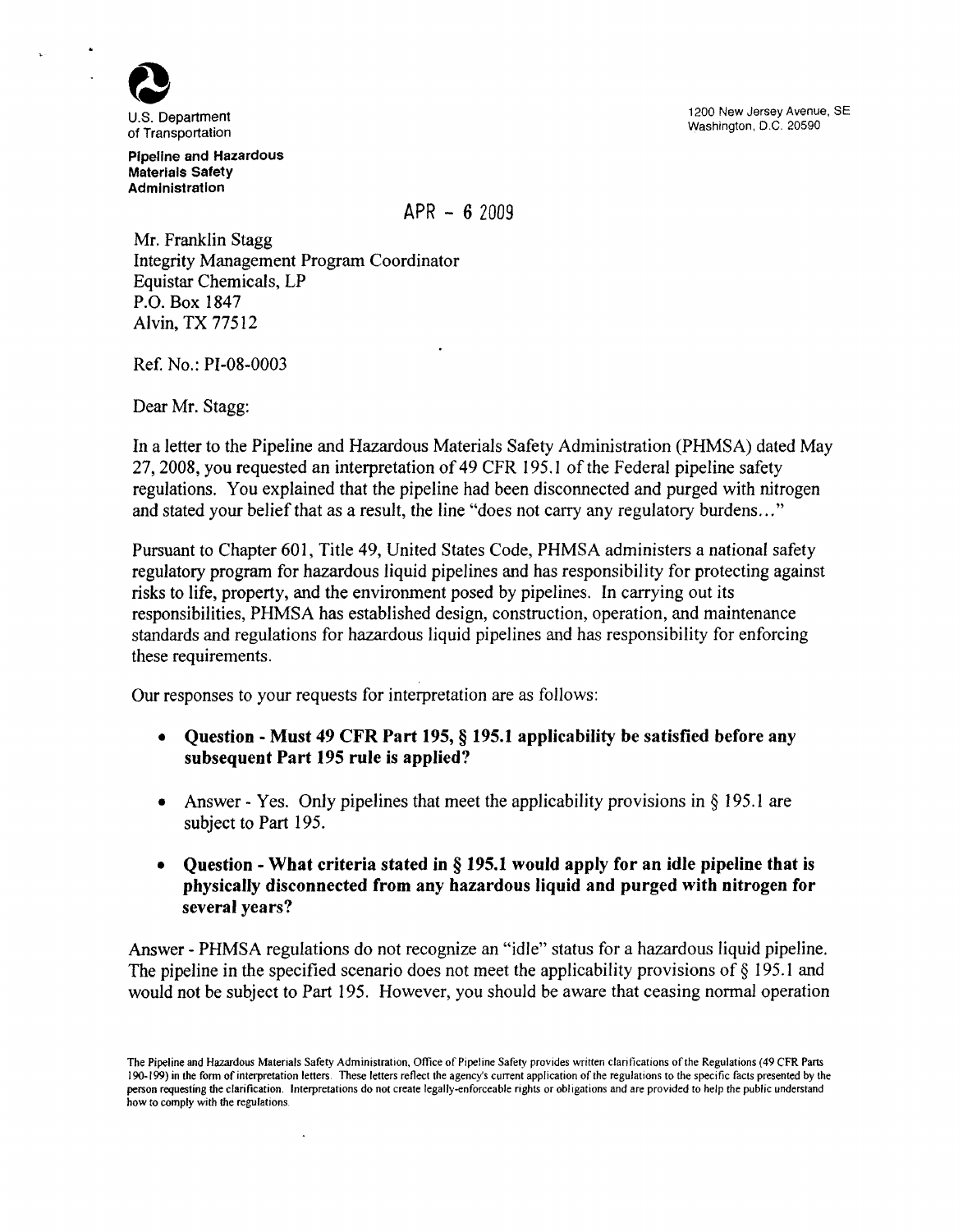

U.S. Department of Transportation

Pipeline and Hazardous Materials Safety Administration

1200 New Jersey Avenue, SE Washington, D.C. 20590

 $APR - 62009$ 

Mr. Franklin Stagg Integrity Management Program Coordinator Equistar Chemicals, LP P.O. Box IB47 Alvin, TX 77512

Ref. No.: PI-OB-0003

Dear Mr. Stagg:

In a letter to the Pipeline and Hazardous Materials Safety Administration (PHMSA) dated May 27, 2008, you requested an interpretation of 49 CFR 195. I of the Federal pipeline safety regulations. You explained that the pipeline had been disconnected and purged with nitrogen and stated your belief that as a result, the line "does not carry any regulatory burdens..."

Pursuant to Chapter 601, Title 49, United States Code, PHMSA administers a national safety regulatory program for hazardous liquid pipelines and has responsibility for protecting against risks to life, property, and the environment posed by pipelines. In carrying out its responsibilities, PHMSA has established design, construction, operation, and maintenance standards and regulations for hazardous liquid pipelines and has responsibility for enforcing these requirements.

Our responses to your requests for interpretation are as follows:

 $\lambda$ 

- Question Must 49 CFR Part 195, § 195.1 applicability be satisfied before any subsequent Part 195 rule is applied?
- Answer Yes. Only pipelines that meet the applicability provisions in  $\S$  195.1 are subject to Part 195.
- **Question What criteria stated in § 195.1 would apply for an idle pipeline that is** physically disconnected from any hazardous liquid and purged with nitrogen for several years?

Answer - PHMSA regulations do not recognize an "idle" status for a hazardous liquid pipeline. The pipeline in the specified scenario does not meet the applicability provisions of  $\S$  195.1 and would not be subject to Part 195. However, you should be aware that ceasing normal operation

The Pipeline and Hazardous Materials Safety Administration, Office of Pipeline Safety provides written clarifications of the Regulations (49 CFR Parts 190-199) in the form of interpretation letters. These letters reflect the agency's current application of the regulations to the specific facts presented by the person requesting the clarification. Interpretations do not create legally-enforceable rights or obligations and are provided to help the public understand how to comply with the regulations.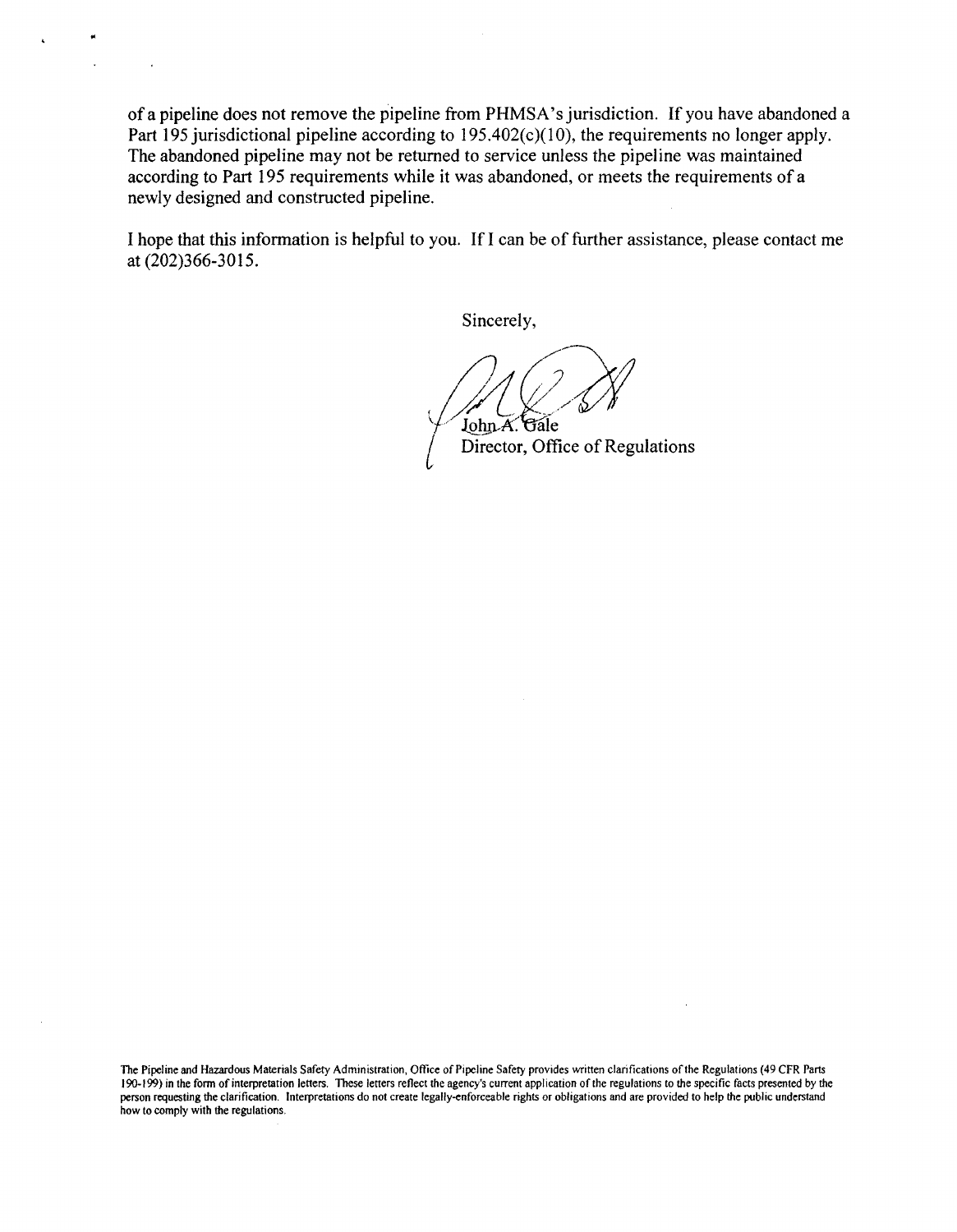of a pipeline does not remove the pipeline from PHMSA 's jurisdiction. If you have abandoned a Part 195 jurisdictional pipeline according to  $195.402(c)(10)$ , the requirements no longer apply. The abandoned pipeline may not be returned to service unless the pipeline was maintained according to Part 195 requirements while it was abandoned, or meets the requirements of a newly designed and constructed pipeline.

..

I hope that this information is helpful to you. If I can be of further assistance, please contact me at (202)366-3015.

Sincerely,

 $\sqrt{\mathrm{i}}$ John A. Gale { Director, Office of Regulations

The Pipeline and Hazardous Materials Safety Administration, Office of Pipeline Safety provides written clarifications of the Regulations (49 CFR Parts 190-199) in the form of interpretation letters. These letters reflect the agency's current application of the regulations to the specific facts presented by the person requesting the clarification. Interpretations do not create legally-enforceable rights or obligations and are provided to help the public understand how to comply with the regulations.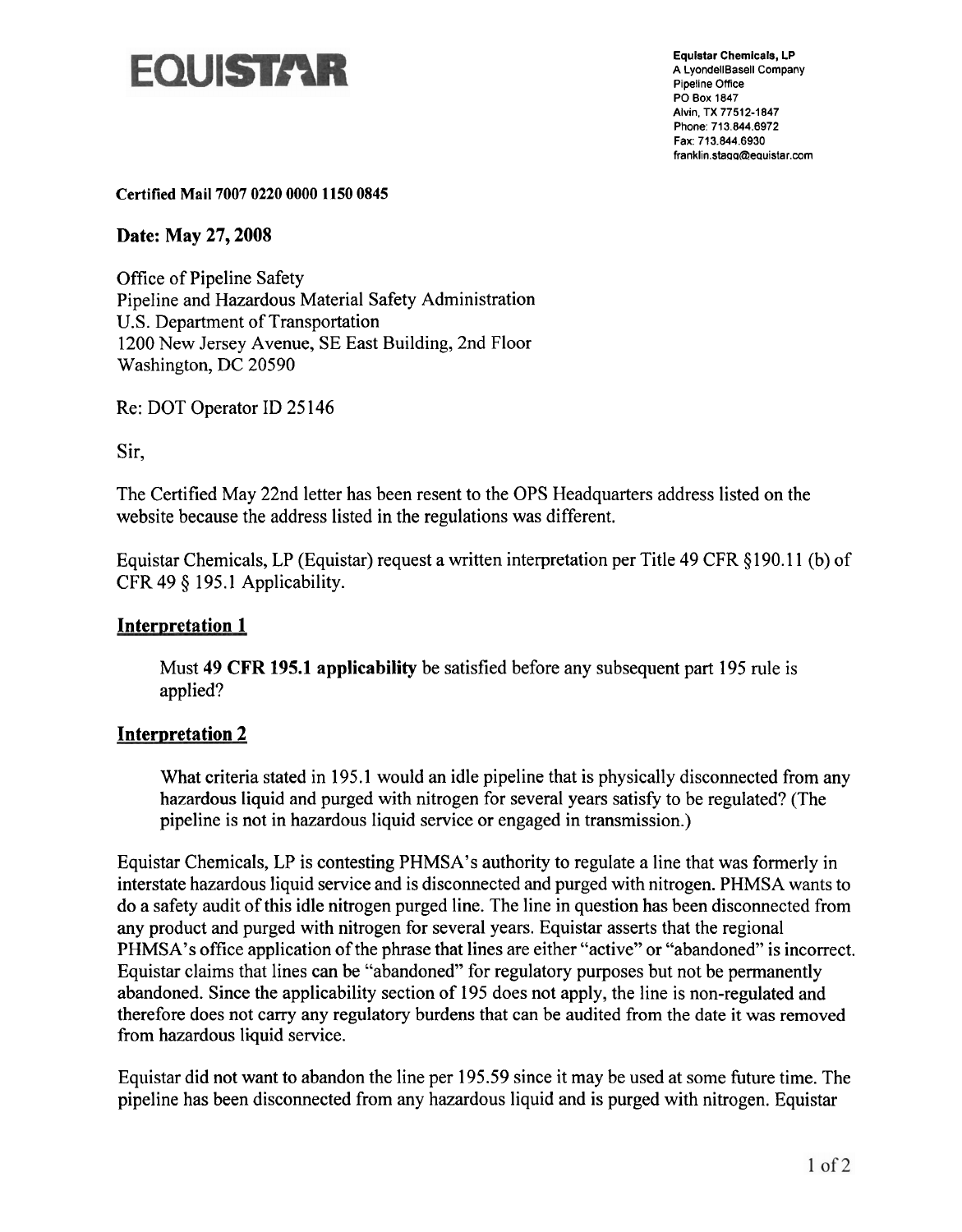

**Equistar Chemicals, LP A LyondellBasell Company Pipeline Office PO Box 1847 Alvin. TX 77512-1 847 Phone: 713.844.6972 Fax: 713.844.6930**  franklin.stagg@equistar.com

**Certified Mail 7007 0220 0000 1150 0845** 

**Date: May 27,2008** 

Office of Pipeline Safety Pipeline and Hazardous Material Safety Administration U.S. Department of Transportation 1200 New Jersey Avenue, SE East Building, 2nd Floor Washington, DC 20590

Re: DOT Operator ID 25 146

Sir,

The Certified May 22nd letter has been resent to the OPS Headquarters address listed on the website because the address listed in the regulations was different.

Equistar Chemicals, LP (Equistar) request a written interpretation per Title 49 CFR \$190.1 1 (b) of CFR 49 \$ 195.1 Applicability.

## **Interpretation 1**

Must **49** CFR **195.1 applicability** be satisfied before any subsequent part 195 rule is applied?

## **Interpretation 2**

What criteria stated in 195.1 would an idle pipeline that is physically disconnected from any hazardous liquid and purged with nitrogen for several years satisfy to be regulated? (The pipeline is not in hazardous liquid service or engaged in transmission.)

Equistar Chemicals, LP is contesting PHMSA's authority to regulate a line that was formerly in interstate hazardous liquid service and is disconnected and purged with nitrogen. PHMSA wants to do a safety audit of this idle nitrogen purged line. The line in question has been disconnected from any product and purged with nitrogen for several years. Equistar asserts that the regional PHMSA's office application of the phrase that lines are either "active" or "abandoned" is incorrect. Equistar claims that lines can be "abandoned" for regulatory purposes but not be permanently abandoned. Since the applicability section of 195 does not apply, the line is non-regulated and therefore does not carry any regulatory burdens that can be audited from the date it was removed from hazardous liquid service.

Equistar did not want to abandon the line per 195.59 since it may be used at some future time. The pipeline has been disconnected from any hazardous liquid and is purged with nitrogen. Equistar